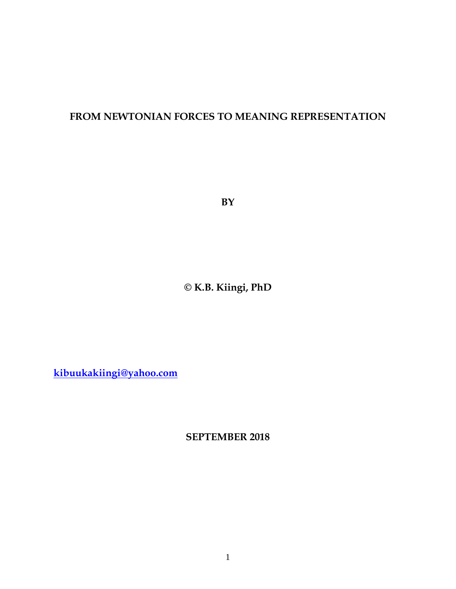# **FROM NEWTONIAN FORCES TO MEANING REPRESENTATION**

**BY**

**© K.B. Kiingi, PhD**

**[kibuukakiingi@yahoo.com](mailto:kibuukakiingi@yahoo.com)**

**SEPTEMBER 2018**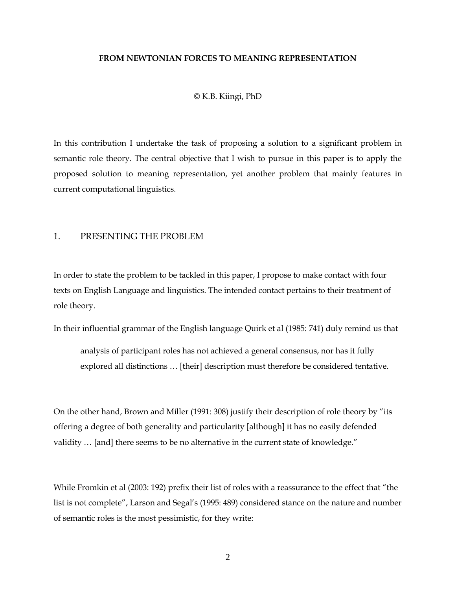#### **FROM NEWTONIAN FORCES TO MEANING REPRESENTATION**

© K.B. Kiingi, PhD

In this contribution I undertake the task of proposing a solution to a significant problem in semantic role theory. The central objective that I wish to pursue in this paper is to apply the proposed solution to meaning representation, yet another problem that mainly features in current computational linguistics.

#### 1. PRESENTING THE PROBLEM

In order to state the problem to be tackled in this paper, I propose to make contact with four texts on English Language and linguistics. The intended contact pertains to their treatment of role theory.

In their influential grammar of the English language Quirk et al (1985: 741) duly remind us that

analysis of participant roles has not achieved a general consensus, nor has it fully explored all distinctions … [their] description must therefore be considered tentative.

On the other hand, Brown and Miller (1991: 308) justify their description of role theory by "its offering a degree of both generality and particularity [although] it has no easily defended validity … [and] there seems to be no alternative in the current state of knowledge."

While Fromkin et al (2003: 192) prefix their list of roles with a reassurance to the effect that "the list is not complete", Larson and Segal's (1995: 489) considered stance on the nature and number of semantic roles is the most pessimistic, for they write: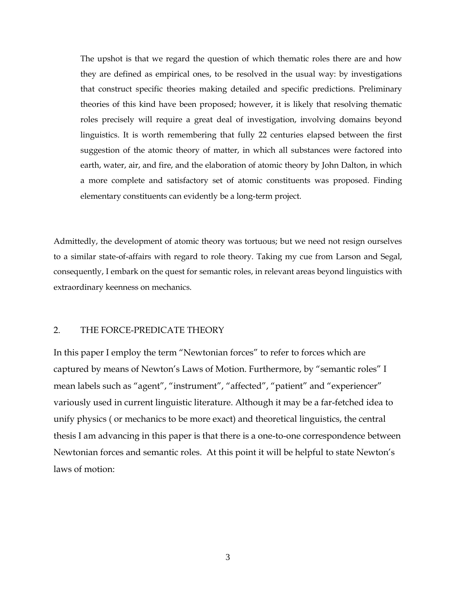The upshot is that we regard the question of which thematic roles there are and how they are defined as empirical ones, to be resolved in the usual way: by investigations that construct specific theories making detailed and specific predictions. Preliminary theories of this kind have been proposed; however, it is likely that resolving thematic roles precisely will require a great deal of investigation, involving domains beyond linguistics. It is worth remembering that fully 22 centuries elapsed between the first suggestion of the atomic theory of matter, in which all substances were factored into earth, water, air, and fire, and the elaboration of atomic theory by John Dalton, in which a more complete and satisfactory set of atomic constituents was proposed. Finding elementary constituents can evidently be a long-term project.

Admittedly, the development of atomic theory was tortuous; but we need not resign ourselves to a similar state-of-affairs with regard to role theory. Taking my cue from Larson and Segal, consequently, I embark on the quest for semantic roles, in relevant areas beyond linguistics with extraordinary keenness on mechanics.

#### 2. THE FORCE-PREDICATE THEORY

In this paper I employ the term "Newtonian forces" to refer to forces which are captured by means of Newton"s Laws of Motion. Furthermore, by "semantic roles" I mean labels such as "agent", "instrument", "affected", "patient" and "experiencer" variously used in current linguistic literature. Although it may be a far-fetched idea to unify physics ( or mechanics to be more exact) and theoretical linguistics, the central thesis I am advancing in this paper is that there is a one-to-one correspondence between Newtonian forces and semantic roles. At this point it will be helpful to state Newton"s laws of motion:

3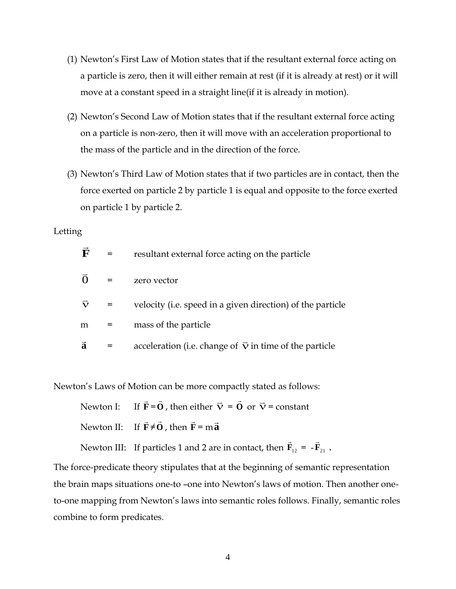- (1) Newton"s First Law of Motion states that if the resultant external force acting on a particle is zero, then it will either remain at rest (if it is already at rest) or it will move at a constant speed in a straight line(if it is already in motion).
- (2) Newton"s Second Law of Motion states that if the resultant external force acting on a particle is non-zero, then it will move with an acceleration proportional to the mass of the particle and in the direction of the force.
- (3) Newton"s Third Law of Motion states that if two particles are in contact, then the force exerted on particle 2 by particle 1 is equal and opposite to the force exerted on particle 1 by particle 2.

### Letting

| F                  | $=$ | resultant external force acting on the particle                |
|--------------------|-----|----------------------------------------------------------------|
| $\overline{O}$     | $=$ | zero vector                                                    |
| $\vec{\mathbf{v}}$ |     | velocity (i.e. speed in a given direction) of the particle     |
| m                  | $=$ | mass of the particle                                           |
| $\vec{a}$          |     | acceleration (i.e. change of $\vec{v}$ in time of the particle |

Newton"s Laws of Motion can be more compactly stated as follows:

Newton I: **F**  $\rightarrow$ =**O**  $\rightarrow$ , then either  $\vec{\mathbf{v}} = \vec{\mathbf{0}}$  $\rightarrow$ or  $\vec{v}$  = constant

Newton II: **F**  $\rightarrow$ ≠ **O**  $\rightarrow$ , then **F**  $\rightarrow$ = m **a**  $\rightarrow$ 

Newton III: If particles 1 and 2 are in contact, then  $\mathbf{F}_{12}$  $\rightarrow$  $=$   $-{\bf F}_{21}$  $\rightarrow$ .

The force-predicate theory stipulates that at the beginning of semantic representation the brain maps situations one-to –one into Newton"s laws of motion. Then another oneto-one mapping from Newton's laws into semantic roles follows. Finally, semantic roles combine to form predicates.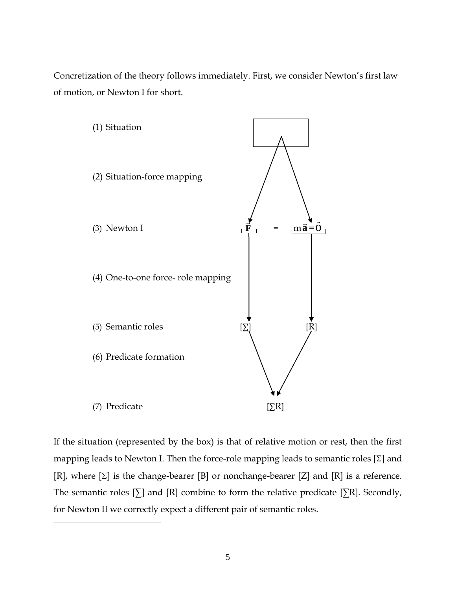Concretization of the theory follows immediately. First, we consider Newton"s first law of motion, or Newton I for short.



If the situation (represented by the box) is that of relative motion or rest, then the first mapping leads to Newton I. Then the force-role mapping leads to semantic roles  $[\Sigma]$  and [R], where  $[\Sigma]$  is the change-bearer [B] or nonchange-bearer [Z] and [R] is a reference. The semantic roles  $[\Sigma]$  and  $[R]$  combine to form the relative predicate  $[\Sigma R]$ . Secondly, for Newton II we correctly expect a different pair of semantic roles.

 $\overline{\phantom{a}}$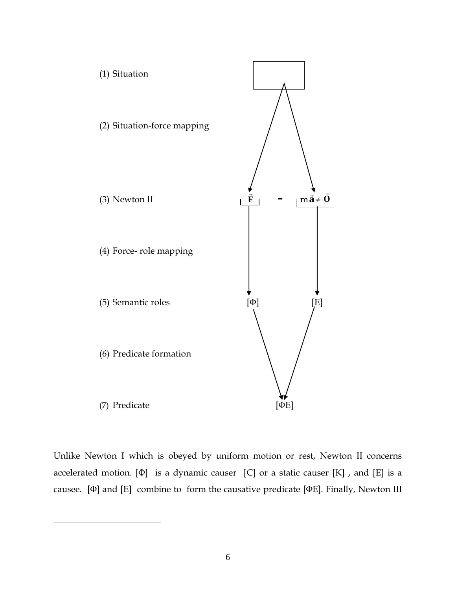

Unlike Newton I which is obeyed by uniform motion or rest, Newton II concerns accelerated motion. [Φ] is a dynamic causer [C] or a static causer [K] , and [E] is a causee. [Φ] and [E] combine to form the causative predicate [ΦE]. Finally, Newton III

 $\overline{\phantom{a}}$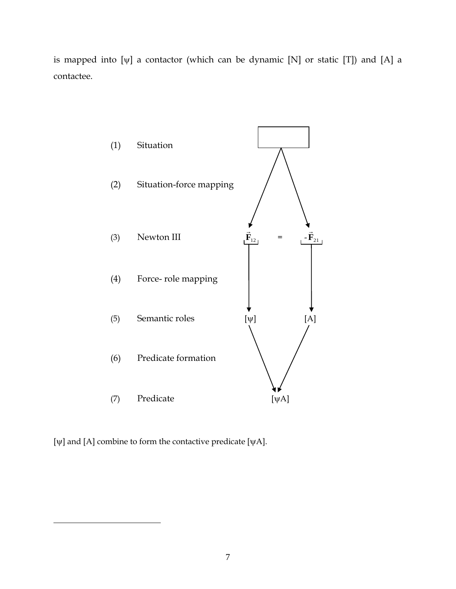is mapped into  $[\psi]$  a contactor (which can be dynamic  $[N]$  or static  $[T]$ ) and  $[A]$  a contactee.

![](_page_6_Figure_1.jpeg)

[ $\psi$ ] and [A] combine to form the contactive predicate [ $\psi$ A].

 $\overline{\phantom{a}}$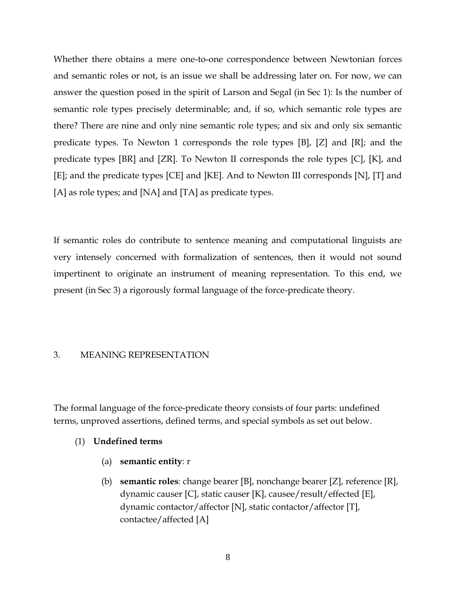Whether there obtains a mere one-to-one correspondence between Newtonian forces and semantic roles or not, is an issue we shall be addressing later on. For now, we can answer the question posed in the spirit of Larson and Segal (in Sec 1): Is the number of semantic role types precisely determinable; and, if so, which semantic role types are there? There are nine and only nine semantic role types; and six and only six semantic predicate types. To Newton 1 corresponds the role types [B], [Z] and [R]; and the predicate types [BR] and [ZR]. To Newton II corresponds the role types [C], [K], and [E]; and the predicate types [CE] and ]KE]. And to Newton III corresponds [N], [T] and [A] as role types; and [NA] and [TA] as predicate types.

If semantic roles do contribute to sentence meaning and computational linguists are very intensely concerned with formalization of sentences, then it would not sound impertinent to originate an instrument of meaning representation. To this end, we present (in Sec 3) a rigorously formal language of the force-predicate theory.

## 3. MEANING REPRESENTATION

The formal language of the force-predicate theory consists of four parts: undefined terms, unproved assertions, defined terms, and special symbols as set out below.

# (1) **Undefined terms**

- (a) **semantic entity**: r
- (b) **semantic roles**: change bearer [B], nonchange bearer [Z], reference [R], dynamic causer [C], static causer [K], causee/result/effected [E], dynamic contactor/affector [N], static contactor/affector [T], contactee/affected [A]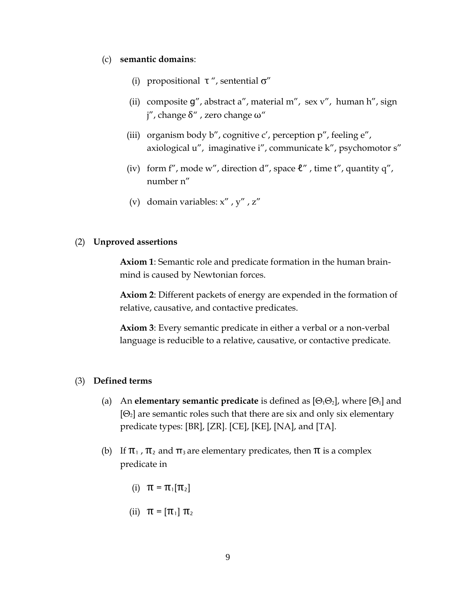#### (c) **semantic domains**:

- (i) propositional  $\tau''$ , sentential  $\sigma''$
- (ii) composite  $g''$ , abstract a'', material m'', sex v'', human h'', sign j", change δ" , zero change ω"
- (iii) organism body  $b''$ , cognitive c', perception  $p''$ , feeling  $e''$ , axiological u", imaginative i", communicate k", psychomotor s"
- (iv) form f", mode w", direction d", space  $\ell$ ", time t", quantity q", number n"
- (v) domain variables: x" , y" , z"

### (2) **Unproved assertions**

**Axiom 1**: Semantic role and predicate formation in the human brainmind is caused by Newtonian forces.

**Axiom 2**: Different packets of energy are expended in the formation of relative, causative, and contactive predicates.

**Axiom 3**: Every semantic predicate in either a verbal or a non-verbal language is reducible to a relative, causative, or contactive predicate.

### (3) **Defined terms**

- (a) An **elementary semantic predicate** is defined as  $[\Theta_1\Theta_2]$ , where  $[\Theta_1]$  and  $[ $\Theta_2$ ] are semantic roles such that there are six and only six elementary$ predicate types: [BR], [ZR]. [CE], [KE], [NA], and [TA].
- (b) If  $\pi_1$ ,  $\pi_2$  and  $\pi_3$  are elementary predicates, then  $\pi$  is a complex predicate in
	- (i)  $\pi = \pi_1[\pi_2]$
	- (ii)  $\pi = [\pi_1] \pi_2$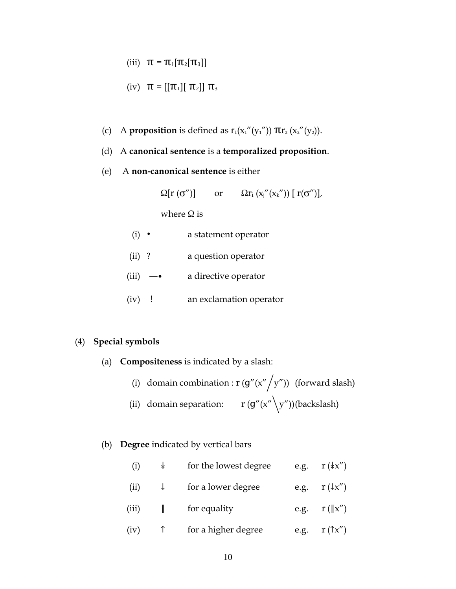(iii)  $\pi = \pi_1[\pi_2[\pi_3]]$ 

(iv) 
$$
\pi = [[\pi_1][ \pi_2]] \pi_3
$$

- (c) A **proposition** is defined as  $r_1(x_1''(y_1''))$   $\pi r_2(x_2''(y_2))$ .
- (d) A **canonical sentence** is a **temporalized proposition**.
- (e) A **non-canonical sentence** is either

 $\Omega[r(\sigma'')]$  or  $\Omega r_i(x_i''(x_k'')) [r(\sigma'')],$ 

where  $\Omega$  is

- (i) ∙ a statement operator
- (ii) ? a question operator
- (iii) —• a directive operator
- (iv) ! an exclamation operator

## (4) **Special symbols**

- (a) **Compositeness** is indicated by a slash:
	- (i) domain combination :  $r (g''(x''/y''))$  (forward slash)
	- (ii) domain separation:  $r (g''(x' \ y''))$ (backslash)
- (b) **Degree** indicated by vertical bars

| (i)   | $\ast$       | for the lowest degree | e.g. $r(\sqrt{kx''})$    |
|-------|--------------|-----------------------|--------------------------|
| (ii)  | $\downarrow$ | for a lower degree    | e.g. $r(\downarrow x'')$ |
| (iii) | $\mathbb{L}$ | for equality          | e.g. $r(\ x'')$          |
| (iv)  |              | for a higher degree   | e.g. $r(\uparrow x'')$   |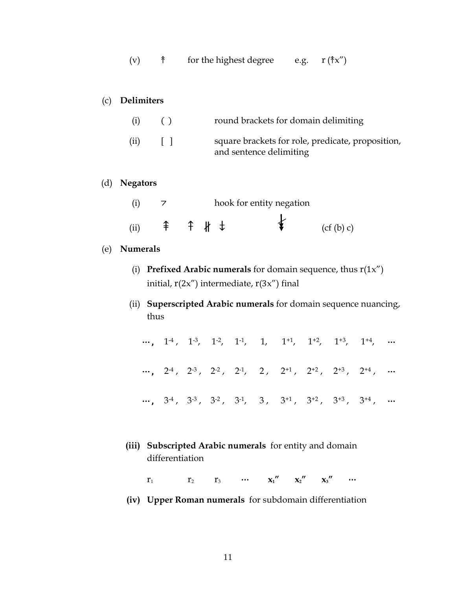| (v) | for the highest degree | e.g. | r $(\hat{\uparrow}x'')$ |
|-----|------------------------|------|-------------------------|
|     |                        |      |                         |

# (c) **Delimiters**

| (i)  | ( )   | round brackets for domain delimiting                                         |
|------|-------|------------------------------------------------------------------------------|
| (ii) | $\pm$ | square brackets for role, predicate, proposition,<br>and sentence delimiting |

## (d) **Negators**

|      |  |  | hook for entity negation |          |
|------|--|--|--------------------------|----------|
| (ii) |  |  |                          | (cf(b)c) |

# (e) **Numerals**

- (i) **Prefixed Arabic numerals** for domain sequence, thus r(1x") initial,  $r(2x'')$  intermediate,  $r(3x'')$  final
- (ii) **Superscripted Arabic numerals** for domain sequence nuancing, thus

|  |  |  |  | , $1^{-4}$ , $1^{-3}$ , $1^{-2}$ , $1^{-1}$ , $1$ , $1^{+1}$ , $1^{+2}$ , $1^{+3}$ , $1^{+4}$ ,                                                            |  |
|--|--|--|--|------------------------------------------------------------------------------------------------------------------------------------------------------------|--|
|  |  |  |  | $\cdots,\quad 2^{4}\,,\quad 2^{3}\,,\quad 2^{2}\,,\quad 2^{1},\quad \ 2\,,\quad \ 2^{+1}\,,\quad 2^{+2}\,,\quad 2^{+3}\,,\quad \ 2^{+4}\,,\quad \  \cdots$ |  |
|  |  |  |  | $\cdots,\quad 3^{4}\,,\quad 3^{3}\,,\quad 3^{2}\,,\quad 3^{4},\quad \ 3\,,\quad \ 3^{+1}\,,\quad 3^{+2}\,,\quad 3^{+3}\,,\quad 3^{+4}\,,\quad \cdots$      |  |

**(iii) Subscripted Arabic numerals** for entity and domain differentiation

 $r_1$   $r_2$   $r_3$  …  $x_1''$   $x_2''$   $x_3''$  …

**(iv) Upper Roman numerals** for subdomain differentiation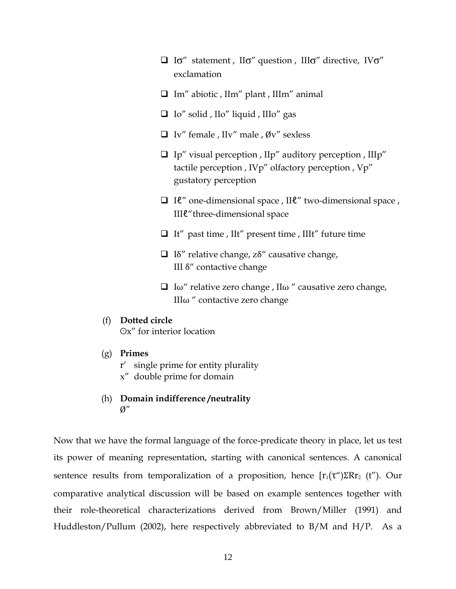- $\Box$  Io" statement, IIo" question, IIIo" directive, IVo" exclamation
- Im" abiotic , IIm" plant , IIIm" animal
- $\Box$  Io" solid , IIo" liquid , IIIo" gas
- $\Box$  Iv" female , IIv" male , Øv" sexless
- $\Box$  Ip" visual perception , IIp" auditory perception , IIIp" tactile perception , IVp" olfactory perception , Vp" gustatory perception
- Iℓ" one-dimensional space , IIℓ" two-dimensional space , IIIℓ"three-dimensional space
- $\Box$  It" past time , IIt" present time , IIIt" future time
- $\Box$  Iδ" relative change, zδ" causative change, III δ" contactive change
- $\Box$  Iω" relative zero change, IIω" causative zero change, IIIω " contactive zero change

#### (f) **Dotted circle**

Ox" for interior location

- (g) **Primes**
	- r" single prime for entity plurality
	- x" double prime for domain
- (h) **Domain indifference /neutrality**  $\mathcal{O}''$

Now that we have the formal language of the force-predicate theory in place, let us test its power of meaning representation, starting with canonical sentences. A canonical sentence results from temporalization of a proposition, hence  $[r_1(\tau')\Sigma Rr_2(t'')$ . Our comparative analytical discussion will be based on example sentences together with their role-theoretical characterizations derived from Brown/Miller (1991) and Huddleston/Pullum (2002), here respectively abbreviated to B/M and H/P. As a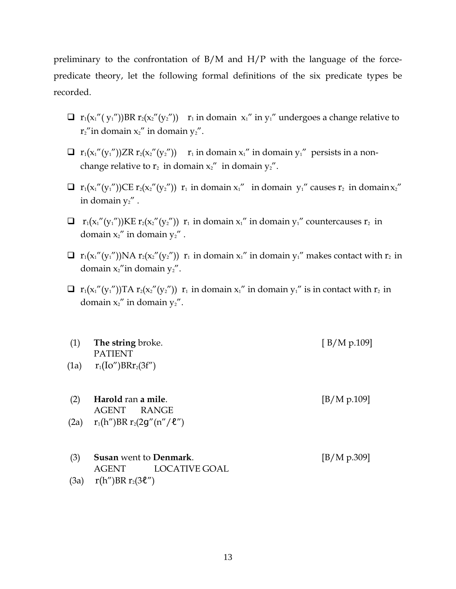preliminary to the confrontation of B/M and H/P with the language of the forcepredicate theory, let the following formal definitions of the six predicate types be recorded.

- $\Box$  r<sub>1</sub>(x<sub>1</sub>"(y<sub>1</sub>"))BR r<sub>2</sub>(x<sub>2</sub>"(y<sub>2</sub>")) r<sub>1</sub> in domain x<sub>1</sub>" in y<sub>1</sub>" undergoes a change relative to  $r_2$ "in domain  $x_2$ " in domain  $y_2$ ".
- $\Box$   $r_1(x_1''(y_1''))ZR\,r_2(x_2''(y_2''))$   $r_1$  in domain  $x_1''$  in domain  $y_1''$  persists in a nonchange relative to  $r_2$  in domain  $x_2$ " in domain  $y_2$ ".
- $\Box$   $r_1(x_1''(y_1''))$ CE  $r_2(x_2''(y_2''))$   $r_1$  in domain  $x_1''$  in domain  $y_1''$  causes  $r_2$  in domain  $x_2''$ in domain  $y_2$ ".
- $\Box$   $r_1(x_1''(y_1''))$ KE  $r_2(x_2''(y_2''))$   $r_1$  in domain  $x_1''$  in domain  $y_1''$  countercauses  $r_2$  in domain  $x_2$ " in domain  $y_2$ ".
- $\Box$   $r_1(x_1''(y_1''))NA r_2(x_2''(y_2''))$   $r_1$  in domain  $x_1''$  in domain  $y_1''$  makes contact with  $r_2$  in domain  $x_2$ "in domain  $y_2$ ".
- $\Box$  r<sub>1</sub>(x<sub>1</sub>"(y<sub>1</sub>"))TA r<sub>2</sub>(x<sub>2</sub>"(y<sub>2</sub>")) r<sub>1</sub> in domain x<sub>1</sub>" in domain y<sub>1</sub>" is in contact with r<sub>2</sub> in domain  $x_2$ " in domain  $y_2$ ".
- (1) **The string** broke. [ B/M p.109] PATIENT (1a)  $r_1 (Io'') BRr_2(3f'')$
- (2) **Harold** ran **a mile**. [B/M p.109] AGENT RANGE (2a)  $r_1(h'')BR r_2(2g''(n''/l''))$
- (3) **Susan** went to **Denmark**. [B/M p.309] AGENT LOCATIVE GOAL (3a)  $r(h'')BR r_2(3\ell'')$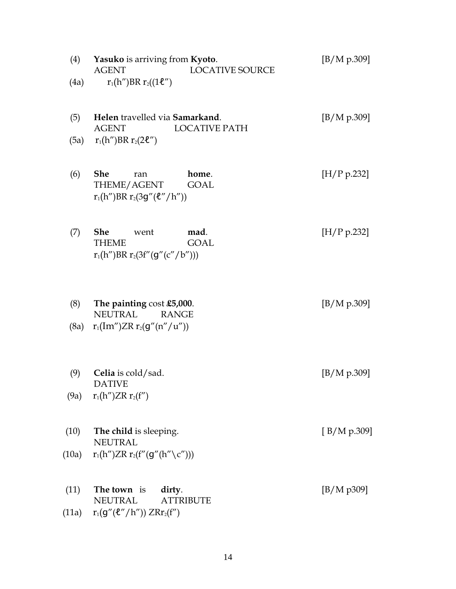| (4)   | <b>Yasuko</b> is arriving from <b>Kyoto</b> .<br><b>LOCATIVE SOURCE</b><br><b>AGENT</b>           | [B/M p.309]  |
|-------|---------------------------------------------------------------------------------------------------|--------------|
| (4a)  | $r_1(h'')BR r_2((1\ell'')$                                                                        |              |
| (5)   | Helen travelled via Samarkand.<br><b>LOCATIVE PATH</b><br><b>AGENT</b>                            | [B/M p.309]  |
| (5a)  | $r_1(h'')BR r_2(2\ell'')$                                                                         |              |
| (6)   | <b>She</b><br>home.<br>ran<br>THEME/AGENT<br><b>GOAL</b><br>$r_1(h'')BR r_2(3g''(\ell''/h''))$    | [H/P p.232]  |
| (7)   | <b>She</b><br>mad.<br>went<br><b>GOAL</b><br><b>THEME</b><br>$r_1(h'')BR r_2(3f''(g''(c''/b'')))$ | [H/P p.232]  |
| (8)   | The painting cost £5,000.<br><b>NEUTRAL</b><br><b>RANGE</b>                                       | [B/M p.309]  |
| (8a)  | $r_1(Im'')ZR r_2(g''(n''/u''))$                                                                   |              |
| (9)   | Celia is cold/sad.<br><b>DATIVE</b>                                                               | [B/M p.309]  |
| (9a)  | $r_1(h'')ZR r_2(f'')$                                                                             |              |
| (10)  | The child is sleeping.<br><b>NEUTRAL</b>                                                          | [ B/M p.309] |
| (10a) | $r_1(h'')ZR\ r_2(f''(g''(h''\setminus c'')))$                                                     |              |
| (11)  | The town is<br>dirty.<br><b>NEUTRAL</b><br><b>ATTRIBUTE</b>                                       | [B/M p309]   |
| (11a) | $r_1(g''(\ell''/h'')) ZRr_2(f'')$                                                                 |              |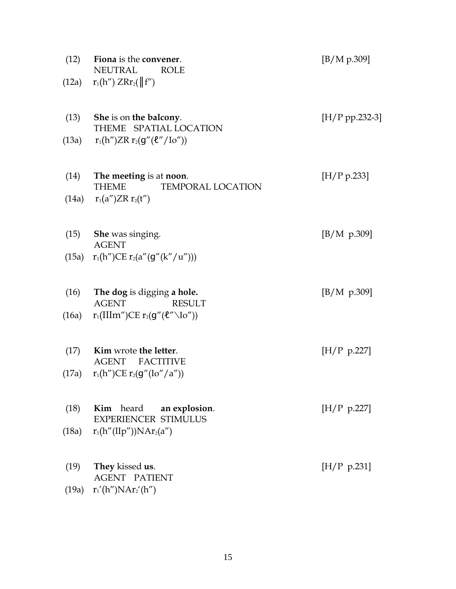| Fiona is the convener.<br><b>NEUTRAL</b><br><b>ROLE</b> | [B/M p.309]                                                                                                                                                            |
|---------------------------------------------------------|------------------------------------------------------------------------------------------------------------------------------------------------------------------------|
| $r_1(h'') Z R r_2(\ f''\)$                              |                                                                                                                                                                        |
| She is on the balcony.<br>THEME SPATIAL LOCATION        | $[H/P pp.232-3]$                                                                                                                                                       |
| $r_1(h'')ZR r_2(g''(\ell''/Io''))$                      |                                                                                                                                                                        |
| The meeting is at noon.                                 | [H/P p.233]                                                                                                                                                            |
| $r_1(a'')ZR r_2(t'')$                                   |                                                                                                                                                                        |
| <b>She</b> was singing.                                 | [B/M p.309]                                                                                                                                                            |
| $r_1(h'')CE r_2(a''(g''(k''/u'')))$                     |                                                                                                                                                                        |
| The dog is digging a hole.                              | [B/M p.309]                                                                                                                                                            |
| $r_1(IIIm'')CE r_2(g''(\ell''\N{o''}))$                 |                                                                                                                                                                        |
| Kim wrote the letter.                                   | [H/P p.227]                                                                                                                                                            |
| $r_1(h'')CE r_2(g''(Io''/a''))$                         |                                                                                                                                                                        |
| Kim heard an explosion.                                 | [H/P p.227]                                                                                                                                                            |
| $r_1(h''(IIp''))NAr_2(a'')$                             |                                                                                                                                                                        |
| They kissed us.                                         | [H/P p.231]                                                                                                                                                            |
| (19a) $r_1'(h'')NAr_2'(h'')$                            |                                                                                                                                                                        |
|                                                         | <b>THEME</b><br>TEMPORAL LOCATION<br><b>AGENT</b><br><b>AGENT</b><br><b>RESULT</b><br><b>AGENT</b><br><b>FACTITIVE</b><br>EXPERIENCER STIMULUS<br><b>AGENT PATIENT</b> |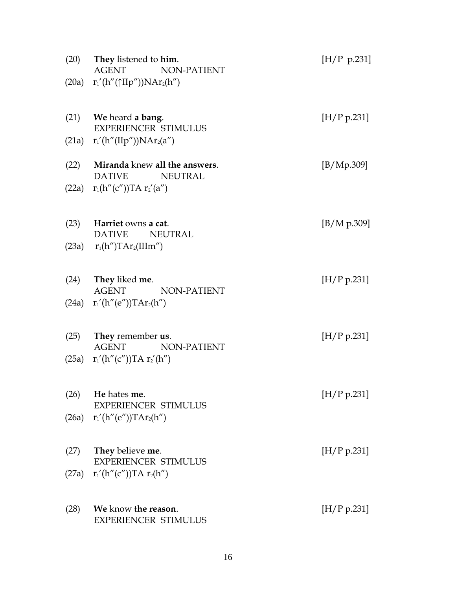| (20)  | <b>They</b> listened to <b>him</b> .<br><b>AGENT</b><br>NON-PATIENT | [H/P p.231] |
|-------|---------------------------------------------------------------------|-------------|
|       | (20a) $r'_1(h''(\uparrow \Pi p''))NAr_2(h'')$                       |             |
| (21)  | <b>We</b> heard <b>a bang</b> .<br><b>EXPERIENCER STIMULUS</b>      | [H/P p.231] |
|       | (21a) $r_1'(h''(IIp''))NAr_2(a'')$                                  |             |
| (22)  | Miranda knew all the answers.<br><b>DATIVE</b><br><b>NEUTRAL</b>    | [B/Mp.309]  |
| (22a) | $r_1(h''(c''))TA r_2'(a'')$                                         |             |
| (23)  | Harriet owns a cat.<br><b>DATIVE</b><br><b>NEUTRAL</b>              | [B/M p.309] |
|       | (23a) $r_1(h'')TAr_2(IIIm'')$                                       |             |
|       |                                                                     |             |
| (24)  | They liked me.                                                      | [H/P p.231] |
| (24a) | <b>AGENT</b><br>NON-PATIENT<br>$r_1'(h''(e''))TAr_2(h'')$           |             |
| (25)  | <b>They</b> remember <b>us</b> .                                    | [H/P p.231] |
|       | <b>AGENT</b><br>NON-PATIENT<br>(25a) $r_1'(h''(c''))TA r_2'(h'')$   |             |
|       |                                                                     |             |
| (26)  | He hates me.                                                        | [H/P p.231] |
|       | <b>EXPERIENCER STIMULUS</b><br>$(26a)$ $r_1'(h''(e''))TAr_2(h'')$   |             |
|       |                                                                     |             |
| (27)  | <b>They</b> believe <b>me</b> .                                     | [H/P p.231] |
|       | <b>EXPERIENCER STIMULUS</b><br>(27a) $r_1'(h''(c''))TA r_2(h'')$    |             |
|       |                                                                     |             |
| (28)  | We know the reason.                                                 | [H/P p.231] |
|       | <b>EXPERIENCER STIMULUS</b>                                         |             |
|       |                                                                     |             |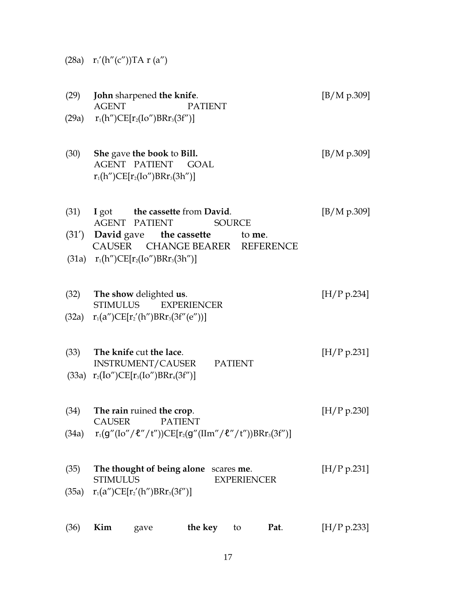|  | (28a) |  |  |  | $r_1'(h''(c''))TA r(a'')$ |  |  |
|--|-------|--|--|--|---------------------------|--|--|
|--|-------|--|--|--|---------------------------|--|--|

| (29)          | John sharpened the knife.<br><b>AGENT</b><br><b>PATIENT</b><br>(29a) $r_1(h'')CE[r_2(Io'')BRr_3(3f'')]$                                                                                                   | [B/M p.309] |
|---------------|-----------------------------------------------------------------------------------------------------------------------------------------------------------------------------------------------------------|-------------|
| (30)          | She gave the book to Bill.<br>AGENT PATIENT GOAL<br>$r_1(h'')CE[r_2(Io'')BRr_3(3h'')]$                                                                                                                    | [B/M p.309] |
| (31)          | I got the cassette from David.<br><b>AGENT PATIENT</b><br><b>SOURCE</b><br>$(31')$ David gave the cassette to me.<br>CAUSER CHANGE BEARER<br><b>REFERENCE</b><br>(31a) $r_1(h'')CE[r_2(Io'')BRr_3(3h'')]$ | [B/M p.309] |
| (32)          | The show delighted us.<br>STIMULUS<br><b>EXPERIENCER</b><br>(32a) $r_1(a'')CE[r_2'(h'')BRr_3(3f''(e''))]$                                                                                                 | [H/P p.234] |
| (33)          | The knife cut the lace.<br>INSTRUMENT/CAUSER PATIENT<br>(33a) $r_2(Io'')CE[r_3(Io'')BRr_4(3f'')]$                                                                                                         | [H/P p.231] |
| (34)<br>(34a) | The rain ruined the crop.<br><b>CAUSER</b><br><b>PATIENT</b><br>$r_1(g''(Io''/ll'')t''))CE[r_2(g''(IIm''/ll'')t''))BRr_3(3f'')]$                                                                          | [H/P p.230] |
| (35)<br>(35a) | The thought of being alone<br>scares me.<br><b>STIMULUS</b><br><b>EXPERIENCER</b><br>$r_1(a'')CE[r'_2(h'')BRr_3(3f'')]$                                                                                   | [H/P p.231] |
| (36)          | Kim<br>Pat.<br>the key<br>to<br>gave                                                                                                                                                                      | [H/P p.233] |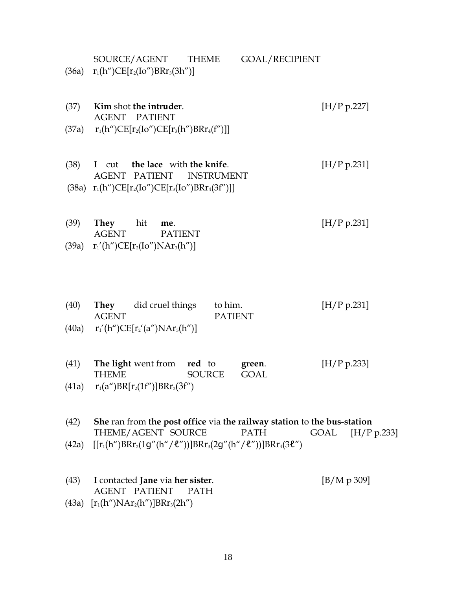| (36a)         | GOAL/RECIPIENT<br>SOURCE/AGENT<br><b>THEME</b><br>$r_1(h'')CE[r_2(Io'')BRr_3(3h'')]$                                                                                              |                     |
|---------------|-----------------------------------------------------------------------------------------------------------------------------------------------------------------------------------|---------------------|
| (37)<br>(37a) | Kim shot the intruder.<br><b>AGENT PATIENT</b><br>$r_1(h'')CE[r_2(Io'')CE[r_3(h'')BRr_4(f'')]]$                                                                                   | [H/P p.227]         |
| (38)          | I cut the lace with the knife.<br><b>PATIENT</b><br><b>AGENT</b><br><b>INSTRUMENT</b><br>(38a) $r_1(h'')CE[r_2(Io'')CE[r_3(Io'')BRr_4(3f'')]]$                                    | [H/P p.231]         |
| (39)<br>(39a) | hit<br>They<br>me.<br><b>AGENT</b><br><b>PATIENT</b><br>$r_1'(h'')CE[r_2(Io'')NAr_3(h'')]$                                                                                        | [H/P p.231]         |
| (40)          | did cruel things<br>to him.<br>They<br><b>AGENT</b><br><b>PATIENT</b><br>(40a) $r_1'(h'')CE[r_2'(a'')NAr_3(h'')]$                                                                 | [H/P p.231]         |
| (41)          | The light went from<br>red to<br>green.<br><b>THEME</b><br><b>SOURCE</b><br><b>GOAL</b><br>(41a) $r_1(a'')BR[r_2(1f'')]BRr_3(3f'')$                                               | [H/P p.233]         |
| (42)<br>(42a) | She ran from the post office via the railway station to the bus-station<br>THEME/AGENT SOURCE<br><b>PATH</b><br>$[[r_1(h'')BRr_2(1g''(h''/l''))]BRr_3(2g''(h''/l''))]BRr_4(3l'')$ | GOAL<br>[H/P p.233] |

(43) **I** contacted **Jane** via **her sister**. [B/M p 309] AGENT PATIENT (43a)  $[r_1(h'')NAr_2(h'')]BRr_3(2h'')$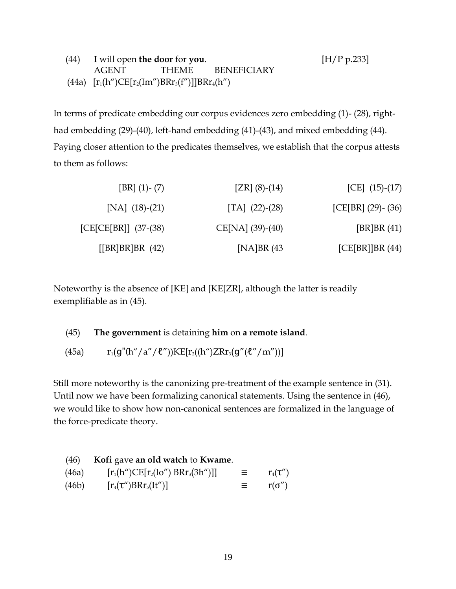| $(44)$ I will open the door for you. | [H/P p.233]                                        |                   |  |
|--------------------------------------|----------------------------------------------------|-------------------|--|
| AGENT                                |                                                    | THEME BENEFICIARY |  |
|                                      | (44a) $[r_1(h'')CE[r_2(Im'')BRr_3(f'')]BRr_4(h'')$ |                   |  |

In terms of predicate embedding our corpus evidences zero embedding (1)- (28), righthad embedding (29)-(40), left-hand embedding (41)-(43), and mixed embedding (44). Paying closer attention to the predicates themselves, we establish that the corpus attests to them as follows:

| [CE] $(15)-(17)$        | $[ZR]$ (8)-(14)    | $[BR]$ (1)- (7)         |
|-------------------------|--------------------|-------------------------|
| [CE[BR] $(29)$ - $(36)$ | [TA] $(22)-(28)$   | [NA] $(18)-(21)$        |
| [BR]BR $(41)$           | $CE[NA] (39)-(40)$ | $[CE[CE[BR]] (37-(38))$ |
| [CE[BR]]BR(44)          | [NA]BR $(43)$      | [ [BR] BR] BR (42)      |

Noteworthy is the absence of [KE] and [KE[ZR], although the latter is readily exemplifiable as in (45).

### (45) **The government** is detaining **him** on **a remote island**.

(45a)  $r_1(g''(h''/a''/l''))KE[r_2((h'')ZRr_3(g''(l''/m''))]$ 

Still more noteworthy is the canonizing pre-treatment of the example sentence in (31). Until now we have been formalizing canonical statements. Using the sentence in (46), we would like to show how non-canonical sentences are formalized in the language of the force-predicate theory.

| (46)  | Kofi gave an old watch to Kwame.      |   |               |
|-------|---------------------------------------|---|---------------|
| (46a) | $[r_1(h'')CE[r_2(Io'') BRr_3(3h'')]]$ | 三 | $r_4(\tau'')$ |
| (46b) | $[r_4(\tau'')BRr_5(It'')]$            | 三 | $r(\sigma'')$ |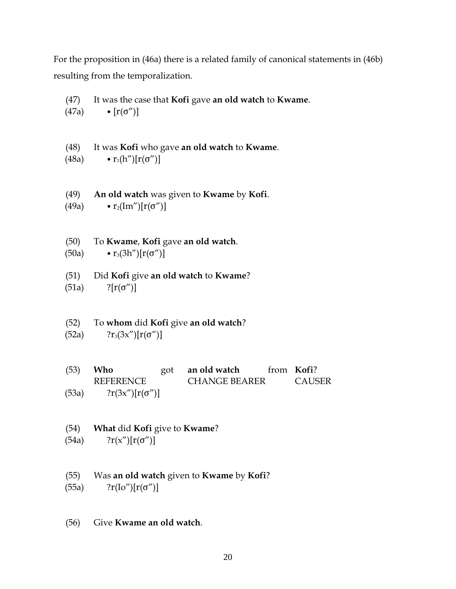For the proposition in (46a) there is a related family of canonical statements in (46b) resulting from the temporalization.

(47) It was the case that **Kofi** gave **an old watch** to **Kwame**. (47a) •  $[r(\sigma'')]$ (48) It was **Kofi** who gave **an old watch** to **Kwame**. (48a) •  $r_1(h'')[r(\sigma'')]$ 

(49) **An old watch** was given to **Kwame** by **Kofi**. (49a) •  $r_2(Im'')[r(\sigma'')]$ 

(50) To **Kwame**, **Kofi** gave **an old watch**. (50a) •  $r_3(3h'')[r(\sigma'')]$ 

(51) Did **Kofi** give **an old watch** to **Kwame**?  $(51a)$  ?[ $r(σ")$ ]

(52) To **whom** did **Kofi** give **an old watch**? (52a)  $?r_3(3x')[r(\sigma'')]$ 

(53) **Who** got **an old watch** from **Kofi**? REFERENCE CHANGE BEARER CAUSER (53a)  $2r(3x'')[r(\sigma'')]$ 

# (54) **What** did **Kofi** give to **Kwame**? (54a)  $2r(x'')[r(\sigma'')]$

(55) Was **an old watch** given to **Kwame** by **Kofi**?

(55a)  $?r(Io'')[r(σ'')]$ 

(56) Give **Kwame an old watch**.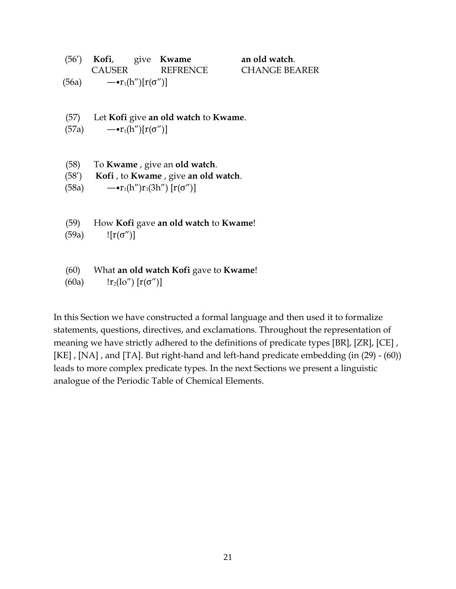|       | (56') Kofi, give Kwame           |          | an old watch.        |
|-------|----------------------------------|----------|----------------------|
|       | <b>CAUSER</b>                    | REFRENCE | <b>CHANGE BEARER</b> |
| (56a) | $-\bullet r_1(h'')[r(\sigma'')]$ |          |                      |
|       |                                  |          |                      |

- (57) Let **Kofi** give **an old watch** to **Kwame**.
- $(57a) \qquad -\cdot r_1(h'')[r(\sigma'')]$
- (58) To **Kwame** , give an **old watch**.
- (58") **Kofi** , to **Kwame** , give **an old watch**.

(58a)  $-•r_1(h'')r_3(3h'') [r(\sigma'')]$ 

- (59) How **Kofi** gave **an old watch** to **Kwame**!
- (59a)  $\{ [r(σ'')]$
- (60) What **an old watch Kofi** gave to **Kwame**!
- (60a)  $\ln_2(\text{Io}'') [r(\sigma'')]$

In this Section we have constructed a formal language and then used it to formalize statements, questions, directives, and exclamations. Throughout the representation of meaning we have strictly adhered to the definitions of predicate types [BR], [ZR], [CE] , [KE], [NA], and [TA]. But right-hand and left-hand predicate embedding (in (29) - (60)) leads to more complex predicate types. In the next Sections we present a linguistic analogue of the Periodic Table of Chemical Elements.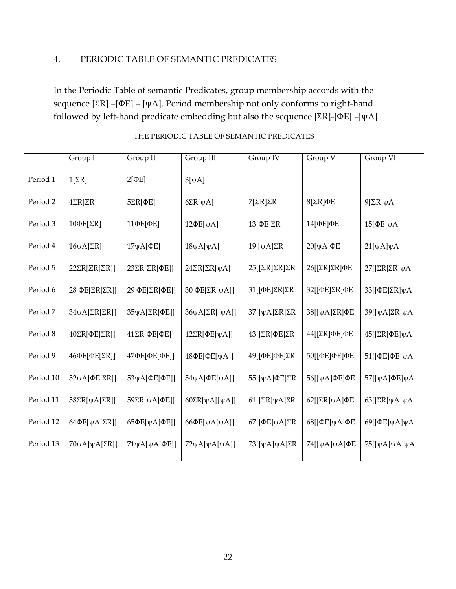# 4. PERIODIC TABLE OF SEMANTIC PREDICATES

In the Periodic Table of semantic Predicates, group membership accords with the sequence  $[\Sigma R]$  – [ $\psi A$ ]. Period membership not only conforms to right-hand followed by left-hand predicate embedding but also the sequence [ $\Sigma$ R]-[ $\Phi$ E] –[ $\psi$ A].

| THE PERIODIC TABLE OF SEMANTIC PREDICATES |                                     |                            |                                |                                          |                                             |                                             |
|-------------------------------------------|-------------------------------------|----------------------------|--------------------------------|------------------------------------------|---------------------------------------------|---------------------------------------------|
|                                           | Group I                             | Group II                   | Group III                      | Group IV                                 | Group V                                     | Group VI                                    |
| Period 1                                  | $1[\Sigma R]$                       | $2[\PhiE]$                 | $3[\psi A]$                    |                                          |                                             |                                             |
| Period 2                                  | $4\Sigma R[\Sigma R]$               | $5\Sigma R[$ ΦE]           | $6\Sigma R[\psi A]$            | $7[\Sigma R]\Sigma R$                    | $8[\Sigma R]\Phi E$                         | $9$ [ $\Sigma$ R] $\psi$ A                  |
| Period 3                                  | 10ΦΕ[ΣR]                            | 11ФЕ[ФЕ]                   | $12\Phi E[\psi A]$             | $13[\Phi E]\Sigma R$                     | 14[ФЕ]ФЕ                                    | $15[\Phi E]\psi A$                          |
| Period 4                                  | $16\psi A[\Sigma R]$                | $17\psi$ A[ $\Phi$ E]      | $18\psi A[\psi A]$             | 19 [ $\psi$ A]ΣR                         | 20[ψΑ]ΦΕ                                    | $21[\psi A]\psi A$                          |
| Period 5                                  | $22\Sigma R[\Sigma R[\Sigma R]]$    | 23ΣR[ΣR[ΦΕ]]               | $24\Sigma R[\Sigma R[\psi A]]$ | $25[[\Sigma R]\Sigma R]\Sigma R$         | 26[[ΣR]ΣR]ΦΕ                                | $27$ [[ $\Sigma$ R] $\Sigma$ R] $\psi$ A    |
| Period 6                                  | 28 ΦΕ[ΣR[ΣR]]                       | 29 ΦΕ[ΣR[ΦΕ]]              | 30 ΦΕ[ΣR[ψΑ]]                  | 31[[ΦΕ]ΣR]ΣR                             | 32[[ΦΕ]ΣR]ΦΕ                                | 33[[ΦΕ]ΣR]ψA                                |
| Period 7                                  | $34\psi A[\Sigma R[\Sigma R]]$      | 35ψA[ΣR[ΦΕ]]               | $36\psi A[\Sigma R[[\psi A]]$  | $37$ [[ $\psi$ A] $\Sigma$ R] $\Sigma$ R | 38[[ψA]ΣR]ΦE                                | 39[[ψA]ΣR]ψA                                |
| Period 8                                  | $40\Sigma R[$ $\Phi E[\Sigma R]$ ]  | 41ΣR[ΦΕ[ΦΕ]]               | $42\Sigma R[\Phi E[\psi A]]$   | 43[[ΣR]ΦE]ΣR                             | 44[[ΣR]ΦE]ΦE                                | 45[[ΣR]ΦE]ψA                                |
| Period 9                                  | 46ΦΕ[ΦΕ[ΣR]]                        | 47ΦΕ[ΦΕ[ΦΕ]]               | 48ΦΕ[ΦΕ[ψΑ]]                   | 49[[ΦΕ]ΦΕ]ΣR                             | 50[[ΦΕ]ΦΕ]ΦΕ                                | 51[[ΦΕ]ΦΕ]ψΑ                                |
| Period 10                                 | 52ψA[ $ΦE[ΣR]$ ]                    | 53γA[ΦΕ[ΦΕ]]               | $54\psi A[\Phi E[\psi A]]$     | 55[[ψA]ΦE]ΣR                             | 56[[ψΑ]ΦΕ]ΦΕ                                | 57[[ψΑ]ΦΕ]ψΑ                                |
| Period 11                                 | $58\Sigma R[\psi A[\Sigma R]]$      | 59ΣR[ψΑ[ΦΕ]]               | $60\Sigma R[\psi A][\psi A]]$  | $61[[\Sigma R]\psi A]\Sigma R$           | 62 $\left[\sum R\right]\psi A\right]\Phi E$ | 63 $\left[\sum R\right]\psi A\right]\psi A$ |
| Period 12                                 | 64 $\Phi$ E[ $\psi$ A[ $\Sigma$ R]] | 65ΦΕ[γΑ[ΦΕ]]               | $66\Phi E[\psi A[\psi A]]$     | $67[[\Phi E]\psi A]\Sigma R$             | 68[[ΦΕ]ψΑ]ΦΕ                                | 69[[ΦΕ]ψΑ]ψΑ                                |
| Period 13                                 | $70\psi A[\psi A[\Sigma R]]$        | $71\psi A[\psi A[\Phi E]]$ | $72\psi A[\psi A[\psi A]]$     | $73[[\psi A]\psi A]\Sigma R$             | 74[[ψΑ]ψΑ]ΦΕ                                | 75[[ψΑ]ψΑ]ψΑ                                |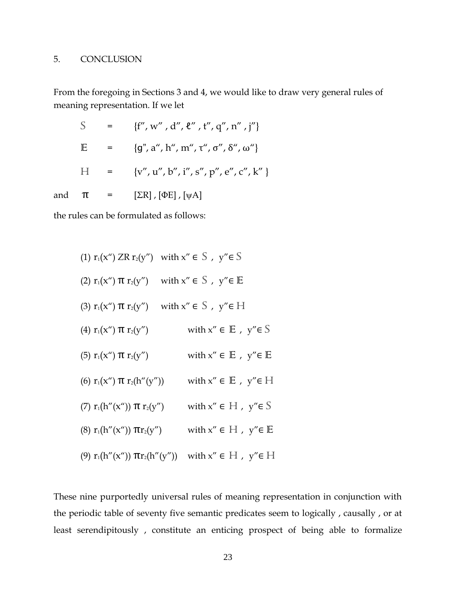### 5. CONCLUSION

From the foregoing in Sections 3 and 4, we would like to draw very general rules of meaning representation. If we let

|  | S = {f'', w'', d'', $\ell$ '', t'', q'', n'', j''}                            |
|--|-------------------------------------------------------------------------------|
|  | E = {g", a", h", m", τ", σ", δ", ω"}                                          |
|  | $H = \{v'', u'', b'', i'', s'', p'', e'', c'', k''\}$                         |
|  | and $\pi$ = $[\Sigma \mathbb{R}]$ , $[\Phi \mathbb{E}]$ , $[\psi \mathbb{A}]$ |

the rules can be formulated as follows:

| (1) $r_1(x'')$ ZR $r_2(y'')$ with $x'' \in S$ , $y'' \in S$            |                                                  |
|------------------------------------------------------------------------|--------------------------------------------------|
| (2) $r_1(x'')$ $\pi$ $r_2(y'')$                                        | with $x'' \in S$ , $y'' \in E$                   |
| (3) $r_1(x'')$ $\pi$ $r_2(y'')$                                        | with $x'' \in S$ , $y'' \in H$                   |
| (4) $r_1(x'')$ $\pi r_2(y'')$                                          | with $x'' \in E$ , $y'' \in S$                   |
| (5) $r_1(x'')$ $\pi$ $r_2(y'')$                                        | with $x'' \in \mathbb{E}$ , $y'' \in \mathbb{E}$ |
| (6) $r_1(x'')$ $\pi$ $r_2(h''(y''))$                                   | with $x'' \in E$ , $y'' \in H$                   |
| (7) $r_1(h''(x''))$ $\pi r_2(y'')$                                     | with $x'' \in H$ , $y'' \in S$                   |
| (8) $r_1(h''(x'')) \pi r_2(y'')$                                       | with $x'' \in H$ , $y'' \in E$                   |
| (9) $r_1(h''(x''))$ $\pi r_2(h''(y''))$ with $x'' \in H$ , $y'' \in H$ |                                                  |

These nine purportedly universal rules of meaning representation in conjunction with the periodic table of seventy five semantic predicates seem to logically , causally , or at least serendipitously , constitute an enticing prospect of being able to formalize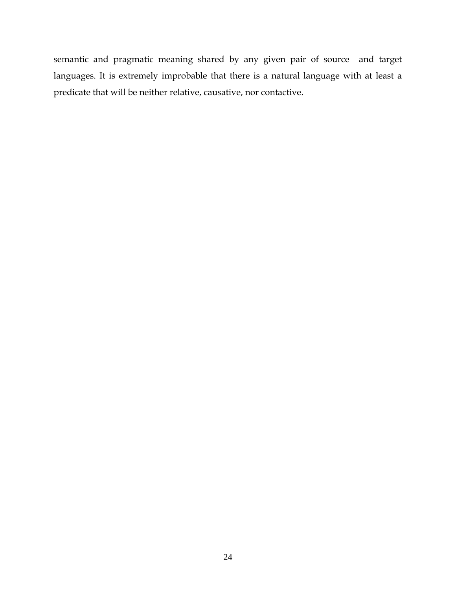semantic and pragmatic meaning shared by any given pair of source and target languages. It is extremely improbable that there is a natural language with at least a predicate that will be neither relative, causative, nor contactive.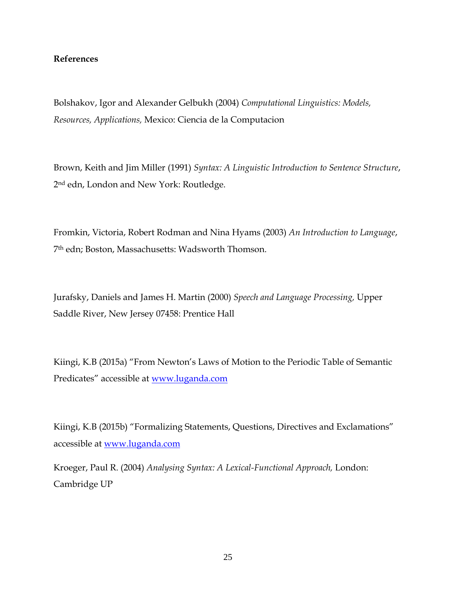### **References**

Bolshakov, Igor and Alexander Gelbukh (2004) *Computational Linguistics: Models, Resources, Applications,* Mexico: Ciencia de la Computacion

Brown, Keith and Jim Miller (1991) *Syntax: A Linguistic Introduction to Sentence Structure*, 2 nd edn, London and New York: Routledge.

Fromkin, Victoria, Robert Rodman and Nina Hyams (2003) *An Introduction to Language*, 7th edn; Boston, Massachusetts: Wadsworth Thomson.

Jurafsky, Daniels and James H. Martin (2000) *Speech and Language Processing,* Upper Saddle River, New Jersey 07458: Prentice Hall

Kiingi, K.B (2015a) "From Newton"s Laws of Motion to the Periodic Table of Semantic Predicates" accessible at [www.luganda.com](http://www.luganda.com/)

Kiingi, K.B (2015b) "Formalizing Statements, Questions, Directives and Exclamations" accessible at [www.luganda.com](http://www.luganda.com/)

Kroeger, Paul R. (2004) *Analysing Syntax: A Lexical-Functional Approach,* London: Cambridge UP